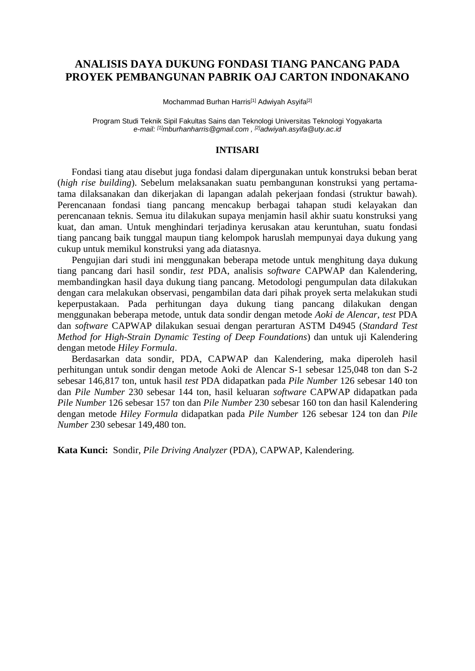## **ANALISIS DAYA DUKUNG FONDASI TIANG PANCANG PADA PROYEK PEMBANGUNAN PABRIK OAJ CARTON INDONAKANO**

Mochammad Burhan Harris<sup>[1]</sup> Adwiyah Asyifa<sup>[2]</sup>

Program Studi Teknik Sipil Fakultas Sains dan Teknologi Universitas Teknologi Yogyakarta *e-mail: [1]mburhanharris@gmail.com , [2]adwiyah.asyifa@uty.ac.id* 

## **INTISARI**

Fondasi tiang atau disebut juga fondasi dalam dipergunakan untuk konstruksi beban berat (*high rise building*). Sebelum melaksanakan suatu pembangunan konstruksi yang pertamatama dilaksanakan dan dikerjakan di lapangan adalah pekerjaan fondasi (struktur bawah). Perencanaan fondasi tiang pancang mencakup berbagai tahapan studi kelayakan dan perencanaan teknis. Semua itu dilakukan supaya menjamin hasil akhir suatu konstruksi yang kuat, dan aman. Untuk menghindari terjadinya kerusakan atau keruntuhan, suatu fondasi tiang pancang baik tunggal maupun tiang kelompok haruslah mempunyai daya dukung yang cukup untuk memikul konstruksi yang ada diatasnya.

Pengujian dari studi ini menggunakan beberapa metode untuk menghitung daya dukung tiang pancang dari hasil sondir, *test* PDA, analisis s*oftware* CAPWAP dan Kalendering, membandingkan hasil daya dukung tiang pancang. Metodologi pengumpulan data dilakukan dengan cara melakukan observasi, pengambilan data dari pihak proyek serta melakukan studi keperpustakaan. Pada perhitungan daya dukung tiang pancang dilakukan dengan menggunakan beberapa metode, untuk data sondir dengan metode *Aoki de Alencar*, *test* PDA dan *software* CAPWAP dilakukan sesuai dengan perarturan ASTM D4945 (*Standard Test Method for High-Strain Dynamic Testing of Deep Foundations*) dan untuk uji Kalendering dengan metode *Hiley Formula*.

Berdasarkan data sondir, PDA, CAPWAP dan Kalendering, maka diperoleh hasil perhitungan untuk sondir dengan metode Aoki de Alencar S-1 sebesar 125,048 ton dan S-2 sebesar 146,817 ton, untuk hasil *test* PDA didapatkan pada *Pile Number* 126 sebesar 140 ton dan *Pile Number* 230 sebesar 144 ton, hasil keluaran *software* CAPWAP didapatkan pada *Pile Number* 126 sebesar 157 ton dan *Pile Number* 230 sebesar 160 ton dan hasil Kalendering dengan metode *Hiley Formula* didapatkan pada *Pile Number* 126 sebesar 124 ton dan *Pile Number* 230 sebesar 149,480 ton.

**Kata Kunci:** Sondir, *Pile Driving Analyzer* (PDA), CAPWAP, Kalendering.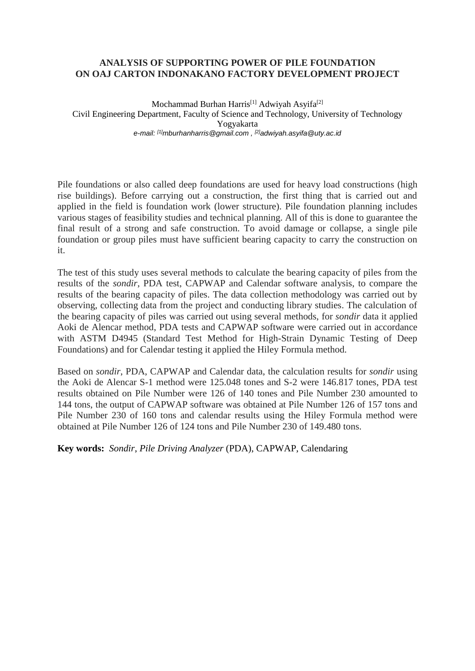## **ANALYSIS OF SUPPORTING POWER OF PILE FOUNDATION ON OAJ CARTON INDONAKANO FACTORY DEVELOPMENT PROJECT**

Mochammad Burhan Harris<sup>[1]</sup> Adwiyah Asyifa<sup>[2]</sup> Civil Engineering Department, Faculty of Science and Technology, University of Technology Yogyakarta *e-mail: [1]mburhanharris@gmail.com , [2]adwiyah.asyifa@uty.ac.id* 

Pile foundations or also called deep foundations are used for heavy load constructions (high rise buildings). Before carrying out a construction, the first thing that is carried out and applied in the field is foundation work (lower structure). Pile foundation planning includes various stages of feasibility studies and technical planning. All of this is done to guarantee the final result of a strong and safe construction. To avoid damage or collapse, a single pile foundation or group piles must have sufficient bearing capacity to carry the construction on it.

The test of this study uses several methods to calculate the bearing capacity of piles from the results of the *sondir*, PDA test, CAPWAP and Calendar software analysis, to compare the results of the bearing capacity of piles. The data collection methodology was carried out by observing, collecting data from the project and conducting library studies. The calculation of the bearing capacity of piles was carried out using several methods, for *sondir* data it applied Aoki de Alencar method, PDA tests and CAPWAP software were carried out in accordance with ASTM D4945 (Standard Test Method for High-Strain Dynamic Testing of Deep Foundations) and for Calendar testing it applied the Hiley Formula method.

Based on *sondir*, PDA, CAPWAP and Calendar data, the calculation results for *sondir* using the Aoki de Alencar S-1 method were 125.048 tones and S-2 were 146.817 tones, PDA test results obtained on Pile Number were 126 of 140 tones and Pile Number 230 amounted to 144 tons, the output of CAPWAP software was obtained at Pile Number 126 of 157 tons and Pile Number 230 of 160 tons and calendar results using the Hiley Formula method were obtained at Pile Number 126 of 124 tons and Pile Number 230 of 149.480 tons.

**Key words:** *Sondir*, *Pile Driving Analyzer* (PDA), CAPWAP, Calendaring